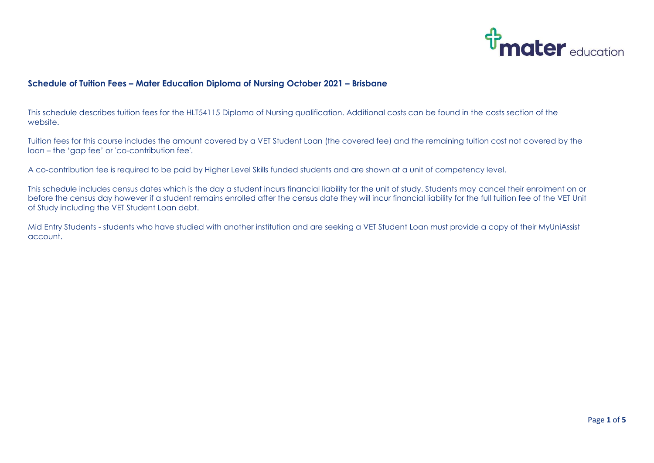

## **Schedule of Tuition Fees – Mater Education Diploma of Nursing October 2021 – Brisbane**

This schedule describes tuition fees for the HLT54115 Diploma of Nursing qualification. Additional costs can be found in the costs section of the website.

Tuition fees for this course includes the amount covered by a VET Student Loan (the covered fee) and the remaining tuition cost not covered by the loan – the 'gap fee' or 'co-contribution fee'.

A co-contribution fee is required to be paid by Higher Level Skills funded students and are shown at a unit of competency level.

This schedule includes census dates which is the day a student incurs financial liability for the unit of study. Students may cancel their enrolment on or before the census day however if a student remains enrolled after the census date they will incur financial liability for the full tuition fee of the VET Unit of Study including the VET Student Loan debt.

Mid Entry Students - students who have studied with another institution and are seeking a VET Student Loan must provide a copy of their MyUniAssist account.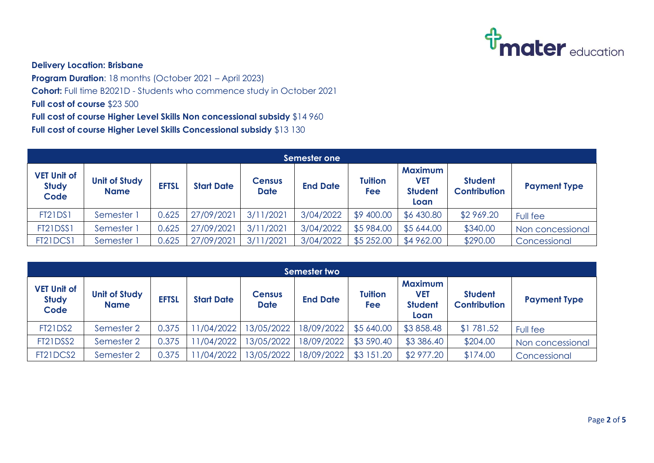

## **Delivery Location: Brisbane**

**Program Duration**: 18 months (October 2021 – April 2023) **Cohort:** Full time B2021D - Students who commence study in October 2021 **Full cost of course** \$23 500 **Full cost of course Higher Level Skills Non concessional subsidy** \$14 960 **Full cost of course Higher Level Skills Concessional subsidy** \$13 130

| Semester one                               |                                     |              |                   |                              |                 |                       |                                                        |                                       |                     |  |
|--------------------------------------------|-------------------------------------|--------------|-------------------|------------------------------|-----------------|-----------------------|--------------------------------------------------------|---------------------------------------|---------------------|--|
| <b>VET Unit of</b><br><b>Study</b><br>Code | <b>Unit of Study</b><br><b>Name</b> | <b>EFTSL</b> | <b>Start Date</b> | <b>Census</b><br><b>Date</b> | <b>End Date</b> | <b>Tuition</b><br>Fee | <b>Maximum</b><br><b>VET</b><br><b>Student</b><br>Loan | <b>Student</b><br><b>Contribution</b> | <b>Payment Type</b> |  |
| <b>FT21DS1</b>                             | Semester 1                          | 0.625        | 27/09/2021        | 3/11/2021                    | 3/04/2022       | \$9 400.00            | \$6 430.80                                             | \$2 969.20                            | Full fee            |  |
| FT21DSS1                                   | Semester 1                          | 0.625        | 27/09/2021        | 3/11/2021                    | 3/04/2022       | \$5 984.00            | \$5 644.00                                             | \$340.00                              | Non concessional    |  |
| FT21DCS1                                   | Semester <sup>3</sup>               | 0.625        | 27/09/2021        | 3/11/2021                    | 3/04/2022       | \$5 252.00            | \$4 962.00                                             | \$290.00                              | Concessional        |  |

| Semester two                               |                                     |              |                   |                              |                 |                       |                                                        |                                       |                     |  |
|--------------------------------------------|-------------------------------------|--------------|-------------------|------------------------------|-----------------|-----------------------|--------------------------------------------------------|---------------------------------------|---------------------|--|
| <b>VET Unit of</b><br><b>Study</b><br>Code | <b>Unit of Study</b><br><b>Name</b> | <b>EFTSL</b> | <b>Start Date</b> | <b>Census</b><br><b>Date</b> | <b>End Date</b> | <b>Tuition</b><br>Fee | <b>Maximum</b><br><b>VET</b><br><b>Student</b><br>Loan | <b>Student</b><br><b>Contribution</b> | <b>Payment Type</b> |  |
| <b>FT21DS2</b>                             | Semester 2                          | 0.375        | 1/04/2022         | 13/05/2022                   | 18/09/2022      | \$5 640.00            | \$3858.48                                              | \$1781.52                             | Full fee            |  |
| FT21DSS2                                   | Semester 2                          | 0.375        | 1/04/2022         | 13/05/2022                   | 18/09/2022      | \$3 590.40            | \$3 386.40                                             | \$204.00                              | Non concessional    |  |
| FT21DCS2                                   | Semester 2                          | 0.375        | 1/04/2022         | 13/05/2022                   | 18/09/2022      | \$3 151.20            | \$2 977.20                                             | \$174.00                              | Concessional        |  |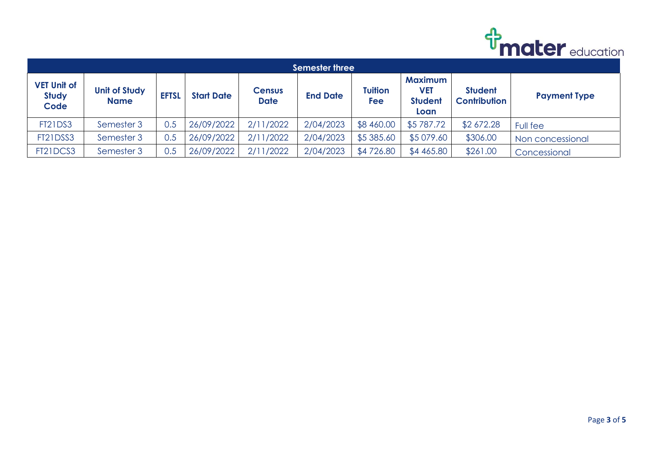

| <b>Semester three</b>                      |                                     |              |                   |                              |                 |                |                                                 |                                       |                     |  |
|--------------------------------------------|-------------------------------------|--------------|-------------------|------------------------------|-----------------|----------------|-------------------------------------------------|---------------------------------------|---------------------|--|
| <b>VET Unit of</b><br><b>Study</b><br>Code | <b>Unit of Study</b><br><b>Name</b> | <b>EFTSL</b> | <b>Start Date</b> | <b>Census</b><br><b>Date</b> | <b>End Date</b> | Tuition<br>Fee | <b>Maximum</b><br>VET<br><b>Student</b><br>Loan | <b>Student</b><br><b>Contribution</b> | <b>Payment Type</b> |  |
| <b>FT21DS3</b>                             | Semester 3                          | 0.5          | 26/09/2022        | 2/11/2022                    | 2/04/2023       | \$8 460.00     | \$5787.72                                       | \$2 672.28                            | Full fee            |  |
| FT21DSS3                                   | Semester 3                          | 0.5          | 26/09/2022        | 2/11/2022                    | 2/04/2023       | \$5 385.60     | \$5 079.60                                      | \$306.00                              | Non concessional    |  |
| FT21DCS3                                   | Semester 3                          | 0.5          | 26/09/2022        | 2/11/2022                    | 2/04/2023       | \$4726.80      | \$4 465.80                                      | \$261.00                              | Concessional        |  |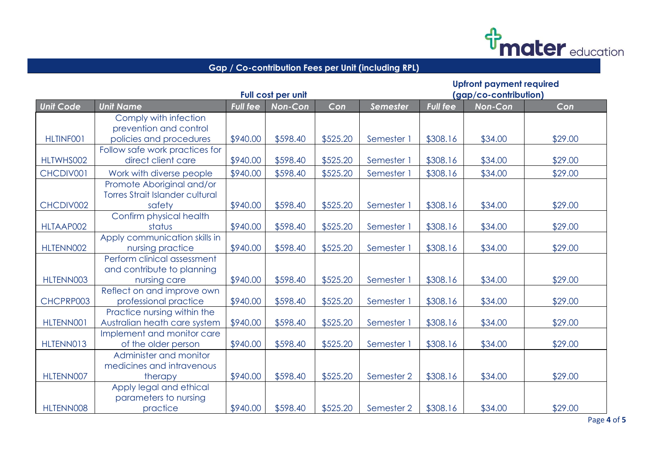

## **Gap / Co-contribution Fees per Unit (including RPL)**

|                  |                                                     | Full cost per unit |                | <b>Upfront payment required</b><br>(gap/co-contribution) |                 |                 |                |         |  |
|------------------|-----------------------------------------------------|--------------------|----------------|----------------------------------------------------------|-----------------|-----------------|----------------|---------|--|
| <b>Unit Code</b> | <b>Unit Name</b>                                    | <b>Full fee</b>    | <b>Non-Con</b> | Con                                                      | <b>Semester</b> | <b>Full fee</b> | <b>Non-Con</b> | Con     |  |
|                  | Comply with infection                               |                    |                |                                                          |                 |                 |                |         |  |
|                  | prevention and control                              |                    |                |                                                          |                 |                 |                |         |  |
| HLTINF001        | policies and procedures                             | \$940.00           | \$598.40       | \$525.20                                                 | Semester 1      | \$308.16        | \$34.00        | \$29.00 |  |
|                  | Follow safe work practices for                      |                    |                |                                                          |                 |                 |                |         |  |
| HLTWHS002        | direct client care                                  | \$940.00           | \$598.40       | \$525.20                                                 | Semester 1      | \$308.16        | \$34.00        | \$29.00 |  |
| CHCDIV001        | Work with diverse people                            | \$940.00           | \$598.40       | \$525.20                                                 | Semester 1      | \$308.16        | \$34.00        | \$29.00 |  |
|                  | Promote Aboriginal and/or                           |                    |                |                                                          |                 |                 |                |         |  |
|                  | <b>Torres Strait Islander cultural</b>              |                    |                |                                                          |                 |                 |                |         |  |
| CHCDIV002        | safety                                              | \$940.00           | \$598.40       | \$525.20                                                 | Semester 1      | \$308.16        | \$34.00        | \$29.00 |  |
|                  | Confirm physical health                             |                    |                |                                                          |                 |                 |                |         |  |
| HLTAAP002        | status                                              | \$940.00           | \$598.40       | \$525.20                                                 | Semester 1      | \$308.16        | \$34.00        | \$29.00 |  |
|                  | Apply communication skills in                       |                    |                |                                                          |                 |                 |                |         |  |
| HLTENN002        | nursing practice                                    | \$940.00           | \$598.40       | \$525.20                                                 | Semester 1      | \$308.16        | \$34.00        | \$29.00 |  |
|                  | Perform clinical assessment                         |                    |                |                                                          |                 |                 |                |         |  |
|                  | and contribute to planning                          |                    |                |                                                          |                 |                 |                |         |  |
| HLTENN003        | nursing care                                        | \$940.00           | \$598.40       | \$525.20                                                 | Semester 1      | \$308.16        | \$34.00        | \$29.00 |  |
| CHCPRP003        | Reflect on and improve own<br>professional practice | \$940.00           | \$598.40       | \$525.20                                                 |                 | \$308.16        | \$34.00        | \$29.00 |  |
|                  | Practice nursing within the                         |                    |                |                                                          | Semester 1      |                 |                |         |  |
| HLTENN001        | Australian heath care system                        | \$940.00           | \$598.40       | \$525.20                                                 | Semester 1      | \$308.16        | \$34.00        | \$29.00 |  |
|                  | Implement and monitor care                          |                    |                |                                                          |                 |                 |                |         |  |
| HLTENN013        | of the older person                                 | \$940.00           | \$598.40       | \$525.20                                                 | Semester 1      | \$308.16        | \$34.00        | \$29.00 |  |
|                  | Administer and monitor                              |                    |                |                                                          |                 |                 |                |         |  |
|                  | medicines and intravenous                           |                    |                |                                                          |                 |                 |                |         |  |
| HLTENN007        | therapy                                             | \$940.00           | \$598.40       | \$525.20                                                 | Semester 2      | \$308.16        | \$34.00        | \$29.00 |  |
|                  | Apply legal and ethical                             |                    |                |                                                          |                 |                 |                |         |  |
|                  | parameters to nursing                               |                    |                |                                                          |                 |                 |                |         |  |
| HLTENN008        | practice                                            | \$940.00           | \$598.40       | \$525.20                                                 | Semester 2      | \$308.16        | \$34.00        | \$29.00 |  |